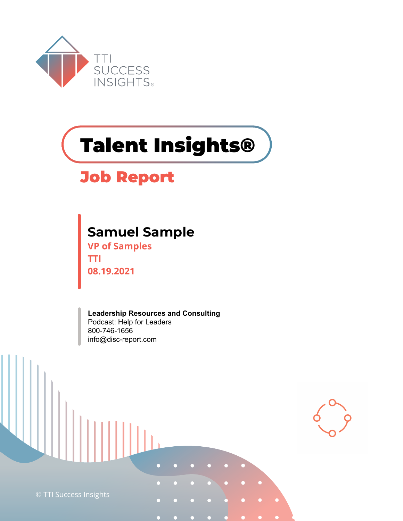

# **Talent Insights®**

#### **Job Report**

#### **Samuel Sample**

**VP of Samples TTI 08.19.2021**

**Leadership Resources and Consulting** Podcast: Help for Leaders 800-746-1656 info@disc-report.com

© TTI Success Insights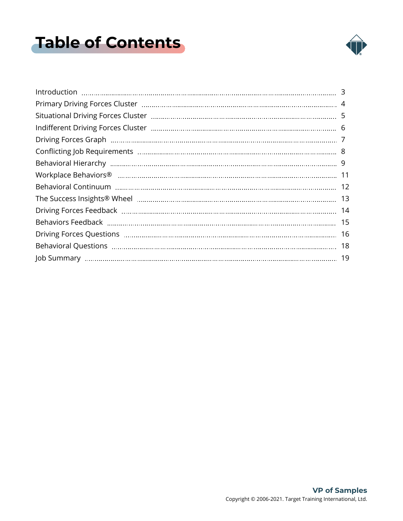### <span id="page-1-0"></span>**Table of Contents**



| 16 |
|----|
|    |
|    |
|    |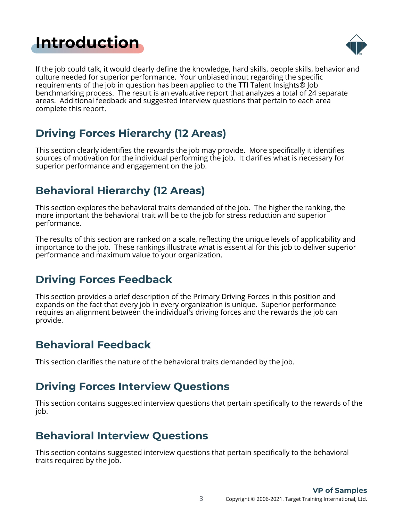#### <span id="page-2-0"></span>**[Introduction](#page-1-0)**



If the job could talk, it would clearly define the knowledge, hard skills, people skills, behavior and culture needed for superior performance. Your unbiased input regarding the specific requirements of the job in question has been applied to the TTI Talent Insights® Job benchmarking process. The result is an evaluative report that analyzes a total of 24 separate areas. Additional feedback and suggested interview questions that pertain to each area complete this report.

#### **Driving Forces Hierarchy (12 Areas)**

This section clearly identifies the rewards the job may provide. More specifically it identifies sources of motivation for the individual performing the job. It clarifies what is necessary for superior performance and engagement on the job.

#### **Behavioral Hierarchy (12 Areas)**

This section explores the behavioral traits demanded of the job. The higher the ranking, the more important the behavioral trait will be to the job for stress reduction and superior performance.

The results of this section are ranked on a scale, reflecting the unique levels of applicability and importance to the job. These rankings illustrate what is essential for this job to deliver superior performance and maximum value to your organization.

#### **Driving Forces Feedback**

This section provides a brief description of the Primary Driving Forces in this position and expands on the fact that every job in every organization is unique. Superior performance requires an alignment between the individual's driving forces and the rewards the job can provide.

#### **Behavioral Feedback**

This section clarifies the nature of the behavioral traits demanded by the job.

#### **Driving Forces Interview Questions**

This section contains suggested interview questions that pertain specifically to the rewards of the job.

#### **Behavioral Interview Questions**

This section contains suggested interview questions that pertain specifically to the behavioral traits required by the job.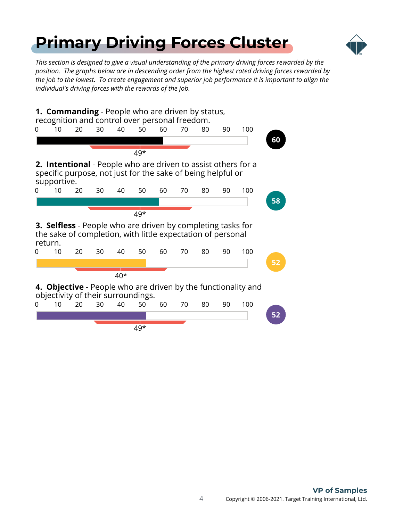### <span id="page-3-0"></span>**[Primary Driving Forces Cluster](#page-1-0)**



*This section is designed to give a visual understanding of the primary driving forces rewarded by the position. The graphs below are in descending order from the highest rated driving forces rewarded by the job to the lowest. To create engagement and superior job performance it is important to align the individual's driving forces with the rewards of the job.*

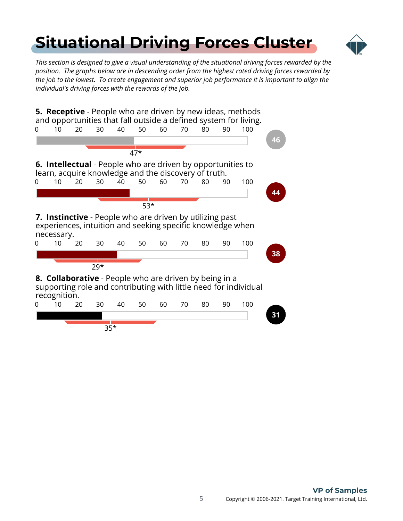# <span id="page-4-0"></span>**[Situational Driving Forces Cluster](#page-1-0)**



*This section is designed to give a visual understanding of the situational driving forces rewarded by the position. The graphs below are in descending order from the highest rated driving forces rewarded by the job to the lowest. To create engagement and superior job performance it is important to align the individual's driving forces with the rewards of the job.*

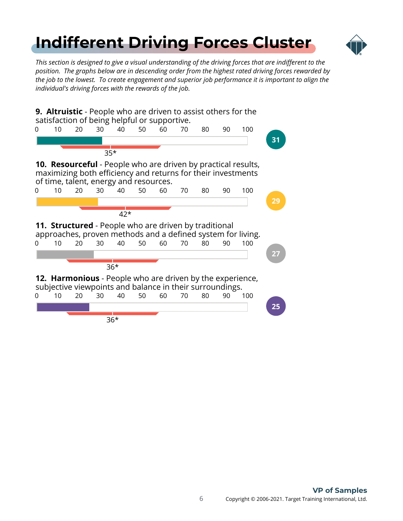## <span id="page-5-0"></span>**[Indifferent Driving Forces Cluster](#page-1-0)**



*This section is designed to give a visual understanding of the driving forces that are indifferent to the position. The graphs below are in descending order from the highest rated driving forces rewarded by the job to the lowest. To create engagement and superior job performance it is important to align the individual's driving forces with the rewards of the job.*

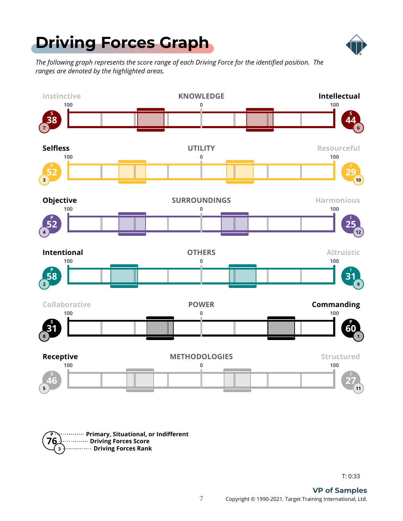### <span id="page-6-0"></span>**[Driving Forces Graph](#page-1-0)**



*The following graph represents the score range of each Driving Force for the identified position. The ranges are denoted by the highlighted areas.*





T: 0:33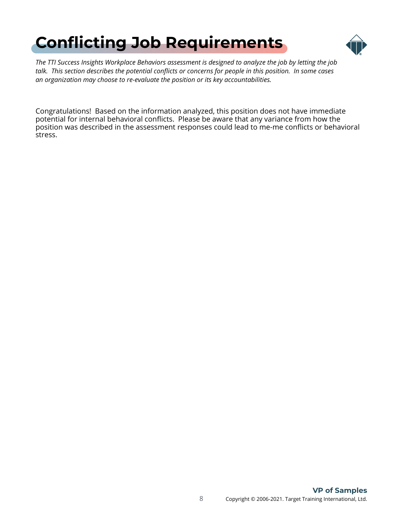# <span id="page-7-0"></span>**[Conflicting Job Requirements](#page-1-0)**



*The TTI Success Insights Workplace Behaviors assessment is designed to analyze the job by letting the job talk. This section describes the potential conflicts or concerns for people in this position. In some cases an organization may choose to re-evaluate the position or its key accountabilities.*

Congratulations! Based on the information analyzed, this position does not have immediate potential for internal behavioral conflicts. Please be aware that any variance from how the position was described in the assessment responses could lead to me-me conflicts or behavioral stress.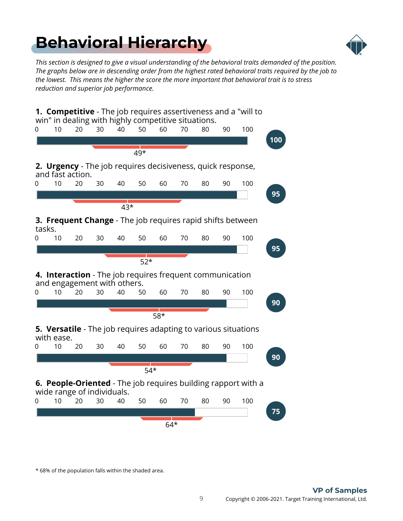### <span id="page-8-0"></span>**[Behavioral Hierarchy](#page-1-0)**



*This section is designed to give a visual understanding of the behavioral traits demanded of the position. The graphs below are in descending order from the highest rated behavioral traits required by the job to the lowest. This means the higher the score the more important that behavioral trait is to stress reduction and superior job performance.*



\* 68% of the population falls within the shaded area.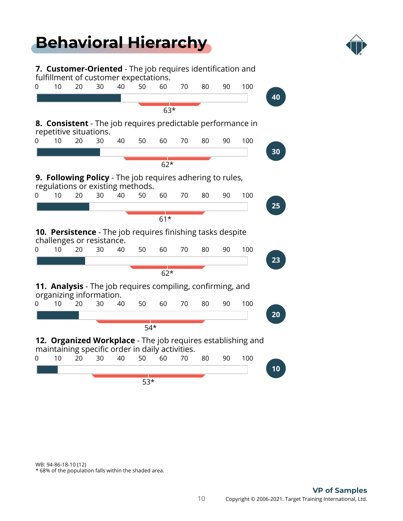### **[Behavioral Hierarchy](#page-1-0)**



**7. Customer-Oriented** - The job requires identification and fulfillment of customer expectations. 0 10 20 30 40 50 60 70 80 90 100 **40** 63\* **8. Consistent** - The job requires predictable performance in repetitive situations. 0 10 20 30 40 50 60 70 80 90 100 **30**  $62*$ **9. Following Policy** - The job requires adhering to rules, regulations or existing methods. 0 10 20 30 40 50 60 70 80 90 100 **25**  $61*$ **10. Persistence** - The job requires finishing tasks despite challenges or resistance. 0 10 20 30 40 50 60 70 80 90 100 **23**  $62*$ **11. Analysis** - The job requires compiling, confirming, and organizing information. 0 10 20 30 40 50 60 70 80 90 100 **20** 54\* **12. Organized Workplace** - The job requires establishing and maintaining specific order in daily activities. 0 10 20 30 40 50 60 70 80 90 100 **10** 53\*

WB: 94-86-18-10 (12)

\* 68% of the population falls within the shaded area.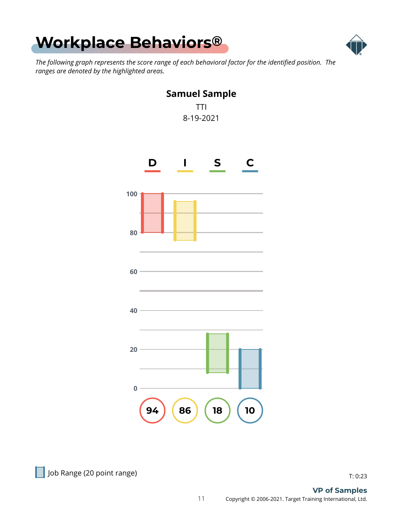<span id="page-10-0"></span>



*The following graph represents the score range of each behavioral factor for the identified position. The ranges are denoted by the highlighted areas.*



Job Range (20 point range) and the state of the state of the state of the state of the state of the state of t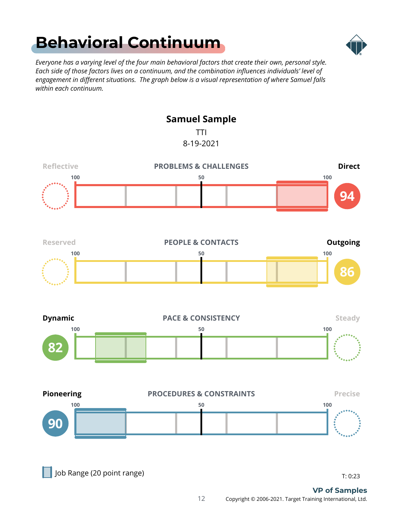### <span id="page-11-0"></span>**[Behavioral Continuum](#page-1-0)**



*Everyone has a varying level of the four main behavioral factors that create their own, personal style. Each side of those factors lives on a continuum, and the combination influences individuals' level of engagement in different situations. The graph below is a visual representation of where Samuel falls within each continuum.*

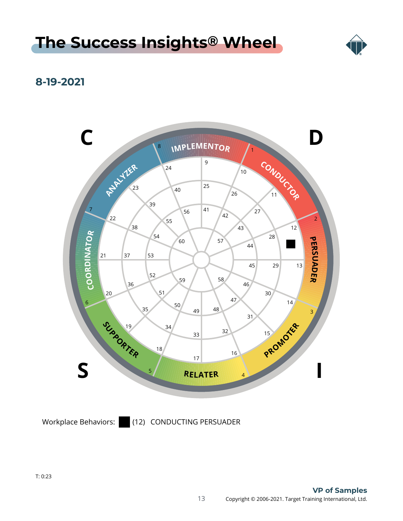#### <span id="page-12-0"></span>**[The Success Insights](#page-1-0) ® Wheel**



#### **8-19-2021**



Workplace Behaviors: (12) CONDUCTING PERSUADER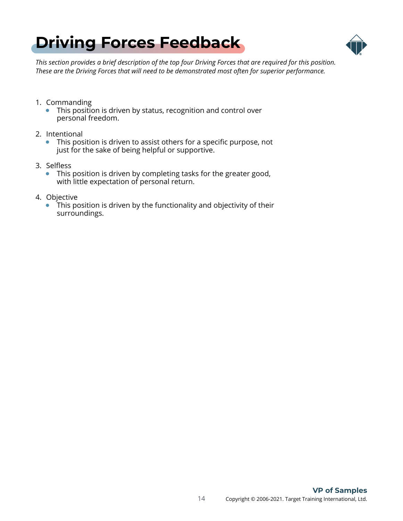<span id="page-13-0"></span>



*This section provides a brief description of the top four Driving Forces that are required for this position. These are the Driving Forces that will need to be demonstrated most often for superior performance.*

- 1. Commanding
	- This position is driven by status, recognition and control over personal freedom.
- 2. Intentional
	- This position is driven to assist others for a specific purpose, not just for the sake of being helpful or supportive.
- 3. Selfless
	- This position is driven by completing tasks for the greater good, with little expectation of personal return.
- 4. Objective
	- This position is driven by the functionality and objectivity of their surroundings.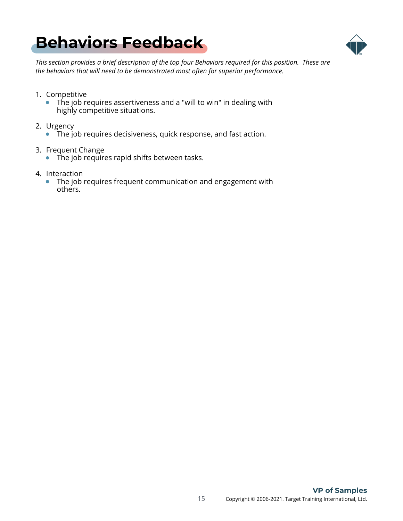### <span id="page-14-0"></span>**[Behaviors Feedback](#page-1-0)**



*This section provides a brief description of the top four Behaviors required for this position. These are the behaviors that will need to be demonstrated most often for superior performance.*

- 1. Competitive
	- The job requires assertiveness and a "will to win" in dealing with highly competitive situations.
- 2. Urgency
	- The job requires decisiveness, quick response, and fast action.
- 3. Frequent Change
	- The job requires rapid shifts between tasks.
- 4. Interaction
	- The job requires frequent communication and engagement with others.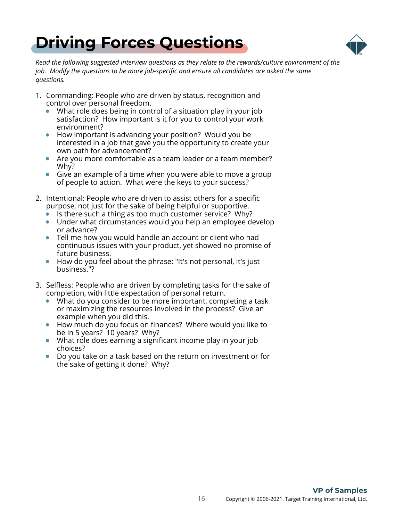<span id="page-15-0"></span>



*Read the following suggested interview questions as they relate to the rewards/culture environment of the job. Modify the questions to be more job-specific and ensure all candidates are asked the same questions.*

- 1. Commanding: People who are driven by status, recognition and control over personal freedom.
	- What role does being in control of a situation play in your job satisfaction? How important is it for you to control your work environment?
	- How important is advancing your position? Would you be  $\bullet$ interested in a job that gave you the opportunity to create your own path for advancement?
	- Are you more comfortable as a team leader or a team member? Why?
	- Give an example of a time when you were able to move a group  $\bullet$ of people to action. What were the keys to your success?
- 2. Intentional: People who are driven to assist others for a specific purpose, not just for the sake of being helpful or supportive.
	- Is there such a thing as too much customer service? Why?
	- Under what circumstances would you help an employee develop or advance?
	- Tell me how you would handle an account or client who had continuous issues with your product, yet showed no promise of future business.
	- How do you feel about the phrase: "It's not personal, it's just business."?
- 3. Selfless: People who are driven by completing tasks for the sake of completion, with little expectation of personal return.
	- What do you consider to be more important, completing a task or maximizing the resources involved in the process? Give an example when you did this.
	- How much do you focus on finances? Where would you like to be in 5 years? 10 years? Why?
	- What role does earning a significant income play in your job  $\bullet$ choices?
	- Do you take on a task based on the return on investment or for  $\bullet$ the sake of getting it done? Why?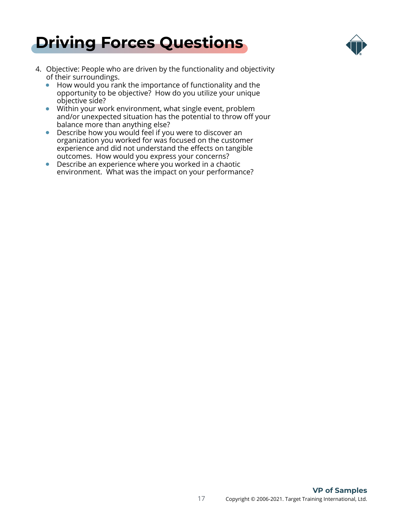



- 4. Objective: People who are driven by the functionality and objectivity of their surroundings.
	- How would you rank the importance of functionality and the opportunity to be objective? How do you utilize your unique objective side?
	- Within your work environment, what single event, problem and/or unexpected situation has the potential to throw off your balance more than anything else?
	- $\bullet$ Describe how you would feel if you were to discover an organization you worked for was focused on the customer experience and did not understand the effects on tangible outcomes. How would you express your concerns?
	- Describe an experience where you worked in a chaotic environment. What was the impact on your performance?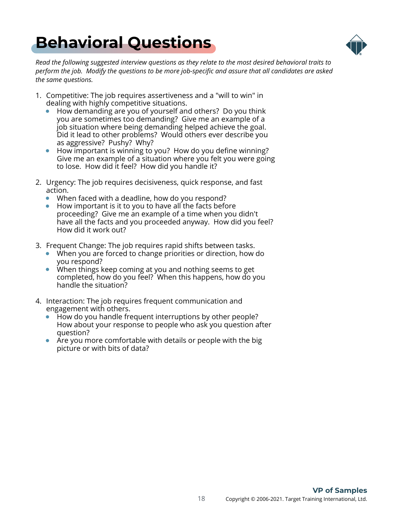### <span id="page-17-0"></span>**[Behavioral Questions](#page-1-0)**



*Read the following suggested interview questions as they relate to the most desired behavioral traits to perform the job. Modify the questions to be more job-specific and assure that all candidates are asked the same questions.*

- 1. Competitive: The job requires assertiveness and a "will to win" in dealing with highly competitive situations.
	- How demanding are you of yourself and others? Do you think you are sometimes too demanding? Give me an example of a job situation where being demanding helped achieve the goal. Did it lead to other problems? Would others ever describe you as aggressive? Pushy? Why?
	- $\bullet$ How important is winning to you? How do you define winning? Give me an example of a situation where you felt you were going to lose. How did it feel? How did you handle it?
- 2. Urgency: The job requires decisiveness, quick response, and fast action.
	- When faced with a deadline, how do you respond?
	- $\bullet$  How important is it to you to have all the facts before proceeding? Give me an example of a time when you didn't have all the facts and you proceeded anyway. How did you feel? How did it work out?
- 3. Frequent Change: The job requires rapid shifts between tasks.
	- When you are forced to change priorities or direction, how do you respond?
	- When things keep coming at you and nothing seems to get completed, how do you feel? When this happens, how do you handle the situation?
- 4. Interaction: The job requires frequent communication and engagement with others.
	- How do you handle frequent interruptions by other people? How about your response to people who ask you question after question?
	- $\bullet$ Are you more comfortable with details or people with the big picture or with bits of data?